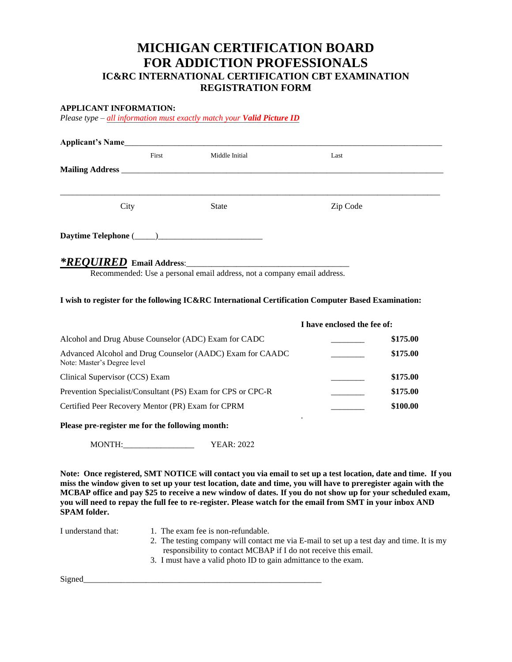# **MICHIGAN CERTIFICATION BOARD FOR ADDICTION PROFESSIONALS IC&RC INTERNATIONAL CERTIFICATION CBT EXAMINATION REGISTRATION FORM**

#### **APPLICANT INFORMATION:**

*Please type – all information must exactly match your Valid Picture ID*

| Applicant's Name         |       |                |          |  |
|--------------------------|-------|----------------|----------|--|
|                          | First | Middle Initial | Last     |  |
|                          |       |                |          |  |
|                          |       |                |          |  |
| City                     |       | <b>State</b>   | Zip Code |  |
|                          |       |                |          |  |
| *REOUIRED Email Address: |       |                |          |  |

Recommended: Use a personal email address, not a company email address.

#### **I wish to register for the following IC&RC International Certification Computer Based Examination:**

| I have enclosed the fee of: |
|-----------------------------|
| \$175.00                    |
| \$175.00                    |
| \$175.00                    |
| \$175.00                    |
| \$100.00                    |
|                             |

**Please pre-register me for the following month:**

MONTH:\_\_\_\_\_\_\_\_\_\_\_\_\_\_\_\_\_ YEAR: 2022

**Note: Once registered, SMT NOTICE will contact you via email to set up a test location, date and time. If you miss the window given to set up your test location, date and time, you will have to preregister again with the MCBAP office and pay \$25 to receive a new window of dates. If you do not show up for your scheduled exam, you will need to repay the full fee to re-register. Please watch for the email from SMT in your inbox AND SPAM folder.** 

- I understand that: 1. The exam fee is non-refundable.
	- 2. The testing company will contact me via E-mail to set up a test day and time. It is my responsibility to contact MCBAP if I do not receive this email.
	- 3. I must have a valid photo ID to gain admittance to the exam.

Signed